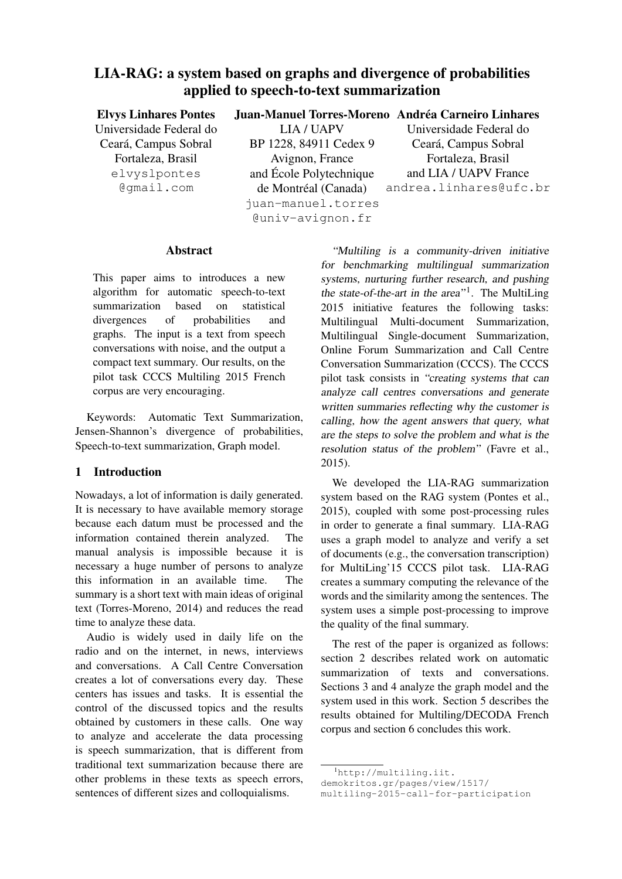# LIA-RAG: a system based on graphs and divergence of probabilities applied to speech-to-text summarization

| <b>Elvys Linhares Pontes</b> |                         | Juan-Manuel Torres-Moreno Andréa Carneiro Linhares |
|------------------------------|-------------------------|----------------------------------------------------|
| Universidade Federal do      | <b>LIA/UAPV</b>         | Universidade Federal do                            |
| Ceará, Campus Sobral         | BP 1228, 84911 Cedex 9  | Ceará, Campus Sobral                               |
| Fortaleza, Brasil            | Avignon, France         | Fortaleza, Brasil                                  |
| elvyslpontes                 | and École Polytechnique | and LIA / UAPV France                              |
| @qmail.com                   | de Montréal (Canada)    | andrea.linhares@ufc.br                             |
|                              | juan-manuel.torres      |                                                    |
|                              | @univ-avignon.fr        |                                                    |

#### Abstract

This paper aims to introduces a new algorithm for automatic speech-to-text summarization based on statistical divergences of probabilities and graphs. The input is a text from speech conversations with noise, and the output a compact text summary. Our results, on the pilot task CCCS Multiling 2015 French corpus are very encouraging.

Keywords: Automatic Text Summarization, Jensen-Shannon's divergence of probabilities, Speech-to-text summarization, Graph model.

#### 1 Introduction

Nowadays, a lot of information is daily generated. It is necessary to have available memory storage because each datum must be processed and the information contained therein analyzed. The manual analysis is impossible because it is necessary a huge number of persons to analyze this information in an available time. The summary is a short text with main ideas of original text (Torres-Moreno, 2014) and reduces the read time to analyze these data.

Audio is widely used in daily life on the radio and on the internet, in news, interviews and conversations. A Call Centre Conversation creates a lot of conversations every day. These centers has issues and tasks. It is essential the control of the discussed topics and the results obtained by customers in these calls. One way to analyze and accelerate the data processing is speech summarization, that is different from traditional text summarization because there are other problems in these texts as speech errors, sentences of different sizes and colloquialisms.

"Multiling is a community-driven initiative for benchmarking multilingual summarization systems, nurturing further research, and pushing the state-of-the-art in the area" $1$ . The MultiLing 2015 initiative features the following tasks: Multilingual Multi-document Summarization, Multilingual Single-document Summarization, Online Forum Summarization and Call Centre Conversation Summarization (CCCS). The CCCS pilot task consists in "creating systems that can analyze call centres conversations and generate written summaries reflecting why the customer is calling, how the agent answers that query, what are the steps to solve the problem and what is the resolution status of the problem" (Favre et al., 2015).

We developed the LIA-RAG summarization system based on the RAG system (Pontes et al., 2015), coupled with some post-processing rules in order to generate a final summary. LIA-RAG uses a graph model to analyze and verify a set of documents (e.g., the conversation transcription) for MultiLing'15 CCCS pilot task. LIA-RAG creates a summary computing the relevance of the words and the similarity among the sentences. The system uses a simple post-processing to improve the quality of the final summary.

The rest of the paper is organized as follows: section 2 describes related work on automatic summarization of texts and conversations. Sections 3 and 4 analyze the graph model and the system used in this work. Section 5 describes the results obtained for Multiling/DECODA French corpus and section 6 concludes this work.

<sup>1</sup>http://multiling.iit.

demokritos.gr/pages/view/1517/

multiling-2015-call-for-participation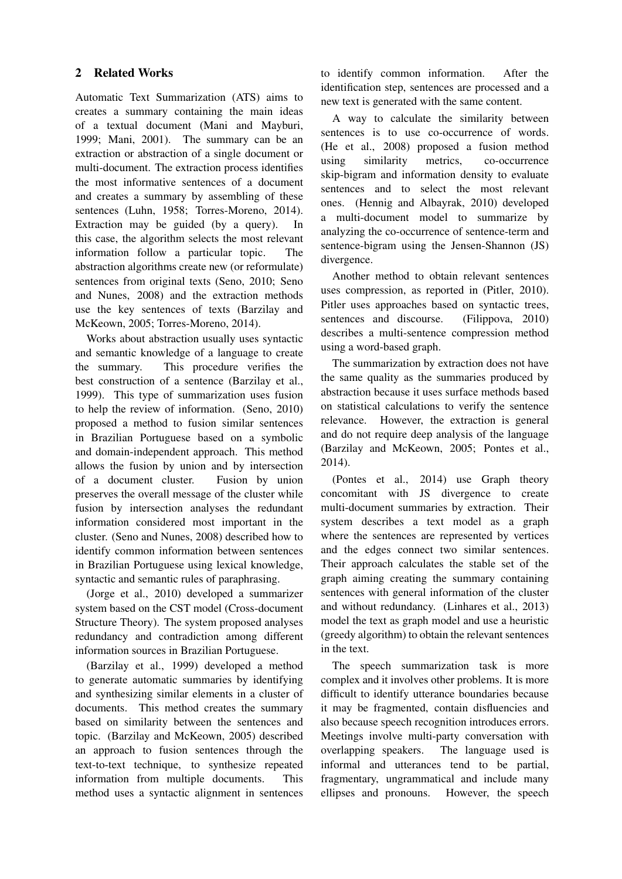## 2 Related Works

Automatic Text Summarization (ATS) aims to creates a summary containing the main ideas of a textual document (Mani and Mayburi, 1999; Mani, 2001). The summary can be an extraction or abstraction of a single document or multi-document. The extraction process identifies the most informative sentences of a document and creates a summary by assembling of these sentences (Luhn, 1958; Torres-Moreno, 2014). Extraction may be guided (by a query). In this case, the algorithm selects the most relevant information follow a particular topic. The abstraction algorithms create new (or reformulate) sentences from original texts (Seno, 2010; Seno and Nunes, 2008) and the extraction methods use the key sentences of texts (Barzilay and McKeown, 2005; Torres-Moreno, 2014).

Works about abstraction usually uses syntactic and semantic knowledge of a language to create the summary. This procedure verifies the best construction of a sentence (Barzilay et al., 1999). This type of summarization uses fusion to help the review of information. (Seno, 2010) proposed a method to fusion similar sentences in Brazilian Portuguese based on a symbolic and domain-independent approach. This method allows the fusion by union and by intersection of a document cluster. Fusion by union preserves the overall message of the cluster while fusion by intersection analyses the redundant information considered most important in the cluster. (Seno and Nunes, 2008) described how to identify common information between sentences in Brazilian Portuguese using lexical knowledge, syntactic and semantic rules of paraphrasing.

(Jorge et al., 2010) developed a summarizer system based on the CST model (Cross-document Structure Theory). The system proposed analyses redundancy and contradiction among different information sources in Brazilian Portuguese.

(Barzilay et al., 1999) developed a method to generate automatic summaries by identifying and synthesizing similar elements in a cluster of documents. This method creates the summary based on similarity between the sentences and topic. (Barzilay and McKeown, 2005) described an approach to fusion sentences through the text-to-text technique, to synthesize repeated information from multiple documents. This method uses a syntactic alignment in sentences to identify common information. After the identification step, sentences are processed and a new text is generated with the same content.

A way to calculate the similarity between sentences is to use co-occurrence of words. (He et al., 2008) proposed a fusion method using similarity metrics, co-occurrence skip-bigram and information density to evaluate sentences and to select the most relevant ones. (Hennig and Albayrak, 2010) developed a multi-document model to summarize by analyzing the co-occurrence of sentence-term and sentence-bigram using the Jensen-Shannon (JS) divergence.

Another method to obtain relevant sentences uses compression, as reported in (Pitler, 2010). Pitler uses approaches based on syntactic trees, sentences and discourse. (Filippova, 2010) describes a multi-sentence compression method using a word-based graph.

The summarization by extraction does not have the same quality as the summaries produced by abstraction because it uses surface methods based on statistical calculations to verify the sentence relevance. However, the extraction is general and do not require deep analysis of the language (Barzilay and McKeown, 2005; Pontes et al., 2014).

(Pontes et al., 2014) use Graph theory concomitant with JS divergence to create multi-document summaries by extraction. Their system describes a text model as a graph where the sentences are represented by vertices and the edges connect two similar sentences. Their approach calculates the stable set of the graph aiming creating the summary containing sentences with general information of the cluster and without redundancy. (Linhares et al., 2013) model the text as graph model and use a heuristic (greedy algorithm) to obtain the relevant sentences in the text.

The speech summarization task is more complex and it involves other problems. It is more difficult to identify utterance boundaries because it may be fragmented, contain disfluencies and also because speech recognition introduces errors. Meetings involve multi-party conversation with overlapping speakers. The language used is informal and utterances tend to be partial, fragmentary, ungrammatical and include many ellipses and pronouns. However, the speech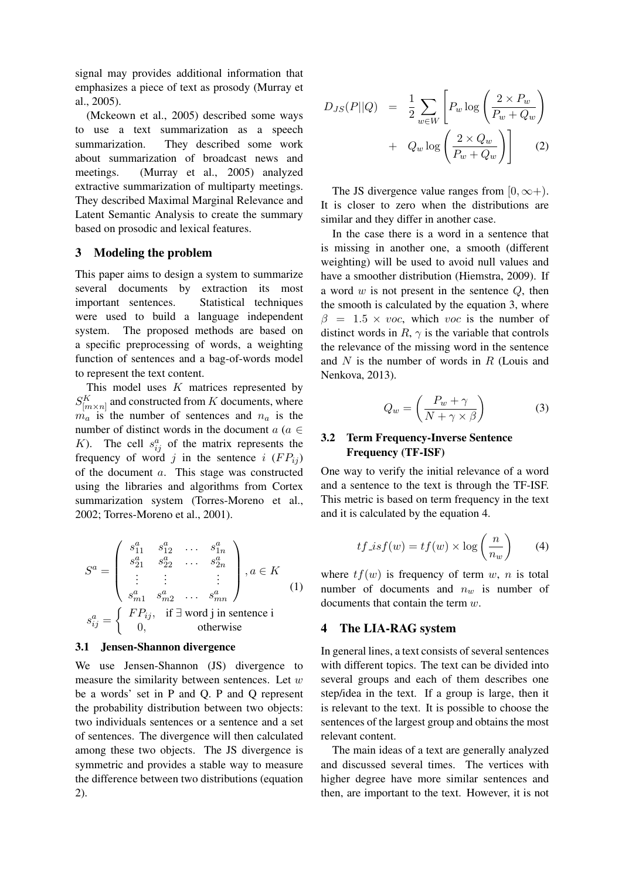signal may provides additional information that emphasizes a piece of text as prosody (Murray et al., 2005).

(Mckeown et al., 2005) described some ways to use a text summarization as a speech summarization. They described some work about summarization of broadcast news and meetings. (Murray et al., 2005) analyzed extractive summarization of multiparty meetings. They described Maximal Marginal Relevance and Latent Semantic Analysis to create the summary based on prosodic and lexical features.

## 3 Modeling the problem

This paper aims to design a system to summarize several documents by extraction its most important sentences. Statistical techniques were used to build a language independent system. The proposed methods are based on a specific preprocessing of words, a weighting function of sentences and a bag-of-words model to represent the text content.

This model uses K matrices represented by  $S_{[m\times n]}^K$  and constructed from  $K$  documents, where  $m_a$  is the number of sentences and  $n_a$  is the number of distinct words in the document  $a \in$ K). The cell  $s_{ij}^a$  of the matrix represents the frequency of word j in the sentence i  $(F P_{ij})$ of the document a. This stage was constructed using the libraries and algorithms from Cortex summarization system (Torres-Moreno et al., 2002; Torres-Moreno et al., 2001).

$$
S^{a} = \begin{pmatrix} s_{11}^{a} & s_{12}^{a} & \cdots & s_{1n}^{a} \\ s_{21}^{a} & s_{22}^{a} & \cdots & s_{2n}^{a} \\ \vdots & \vdots & & \vdots \\ s_{m1}^{a} & s_{m2}^{a} & \cdots & s_{mn}^{a} \end{pmatrix}, a \in K
$$
  
\n
$$
s_{ij}^{a} = \begin{cases} FP_{ij}, & \text{if } \exists \text{ word } j \text{ in sentence } i \\ 0, & \text{otherwise} \end{cases}
$$
 (1)

#### 3.1 Jensen-Shannon divergence

We use Jensen-Shannon (JS) divergence to measure the similarity between sentences. Let  $w$ be a words' set in P and Q. P and Q represent the probability distribution between two objects: two individuals sentences or a sentence and a set of sentences. The divergence will then calculated among these two objects. The JS divergence is symmetric and provides a stable way to measure the difference between two distributions (equation 2).

$$
D_{JS}(P||Q) = \frac{1}{2} \sum_{w \in W} \left[ P_w \log \left( \frac{2 \times P_w}{P_w + Q_w} \right) + Q_w \log \left( \frac{2 \times Q_w}{P_w + Q_w} \right) \right]
$$
(2)

The JS divergence value ranges from  $[0, \infty)$ . It is closer to zero when the distributions are similar and they differ in another case.

In the case there is a word in a sentence that is missing in another one, a smooth (different weighting) will be used to avoid null values and have a smoother distribution (Hiemstra, 2009). If a word  $w$  is not present in the sentence  $Q$ , then the smooth is calculated by the equation 3, where  $\beta = 1.5 \times voc$ , which voc is the number of distinct words in  $R$ ,  $\gamma$  is the variable that controls the relevance of the missing word in the sentence and  $N$  is the number of words in  $R$  (Louis and Nenkova, 2013).

$$
Q_w = \left(\frac{P_w + \gamma}{N + \gamma \times \beta}\right) \tag{3}
$$

#### 3.2 Term Frequency-Inverse Sentence Frequency (TF-ISF)

One way to verify the initial relevance of a word and a sentence to the text is through the TF-ISF. This metric is based on term frequency in the text and it is calculated by the equation 4.

$$
tf\_isf(w) = tf(w) \times \log\left(\frac{n}{n_w}\right) \tag{4}
$$

where  $tf(w)$  is frequency of term w, n is total number of documents and  $n_w$  is number of documents that contain the term w.

## 4 The LIA-RAG system

In general lines, a text consists of several sentences with different topics. The text can be divided into several groups and each of them describes one step/idea in the text. If a group is large, then it is relevant to the text. It is possible to choose the sentences of the largest group and obtains the most relevant content.

The main ideas of a text are generally analyzed and discussed several times. The vertices with higher degree have more similar sentences and then, are important to the text. However, it is not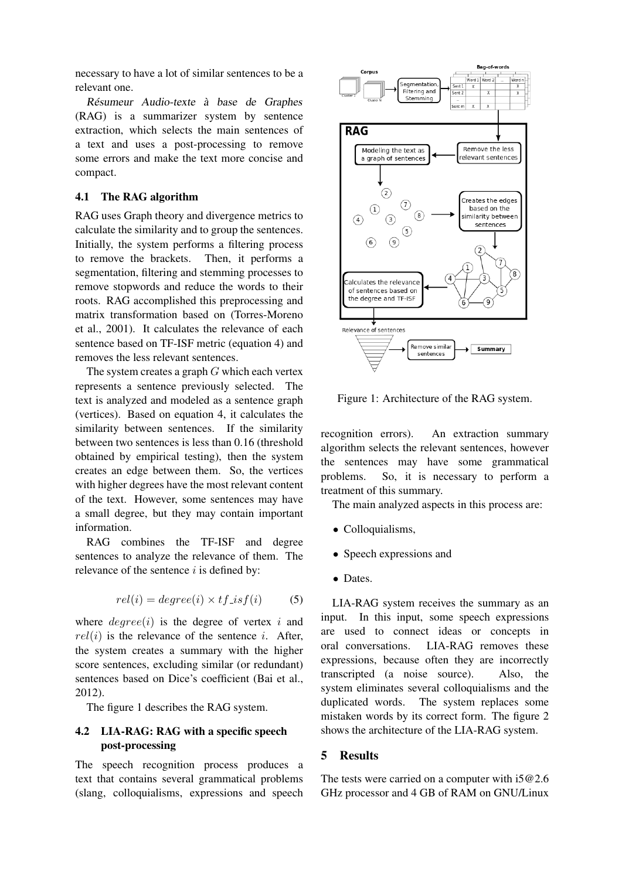necessary to have a lot of similar sentences to be a relevant one.

Résumeur Audio-texte à base de Graphes (RAG) is a summarizer system by sentence extraction, which selects the main sentences of a text and uses a post-processing to remove some errors and make the text more concise and compact.

#### 4.1 The RAG algorithm

RAG uses Graph theory and divergence metrics to calculate the similarity and to group the sentences. Initially, the system performs a filtering process to remove the brackets. Then, it performs a segmentation, filtering and stemming processes to remove stopwords and reduce the words to their roots. RAG accomplished this preprocessing and matrix transformation based on (Torres-Moreno et al., 2001). It calculates the relevance of each sentence based on TF-ISF metric (equation 4) and removes the less relevant sentences.

The system creates a graph G which each vertex represents a sentence previously selected. The text is analyzed and modeled as a sentence graph (vertices). Based on equation 4, it calculates the similarity between sentences. If the similarity between two sentences is less than 0.16 (threshold obtained by empirical testing), then the system creates an edge between them. So, the vertices with higher degrees have the most relevant content of the text. However, some sentences may have a small degree, but they may contain important information.

RAG combines the TF-ISF and degree sentences to analyze the relevance of them. The relevance of the sentence  $i$  is defined by:

$$
rel(i) = degree(i) \times tf\_isf(i) \tag{5}
$$

where  $degree(i)$  is the degree of vertex i and  $rel(i)$  is the relevance of the sentence *i*. After, the system creates a summary with the higher score sentences, excluding similar (or redundant) sentences based on Dice's coefficient (Bai et al., 2012).

The figure 1 describes the RAG system.

## 4.2 LIA-RAG: RAG with a specific speech post-processing

The speech recognition process produces a text that contains several grammatical problems (slang, colloquialisms, expressions and speech



Figure 1: Architecture of the RAG system.

recognition errors). An extraction summary algorithm selects the relevant sentences, however the sentences may have some grammatical problems. So, it is necessary to perform a treatment of this summary.

The main analyzed aspects in this process are:

- Colloquialisms,
- Speech expressions and
- Dates.

LIA-RAG system receives the summary as an input. In this input, some speech expressions are used to connect ideas or concepts in oral conversations. LIA-RAG removes these expressions, because often they are incorrectly transcripted (a noise source). Also, the system eliminates several colloquialisms and the duplicated words. The system replaces some mistaken words by its correct form. The figure 2 shows the architecture of the LIA-RAG system.

## 5 Results

The tests were carried on a computer with  $i5@2.6$ GHz processor and 4 GB of RAM on GNU/Linux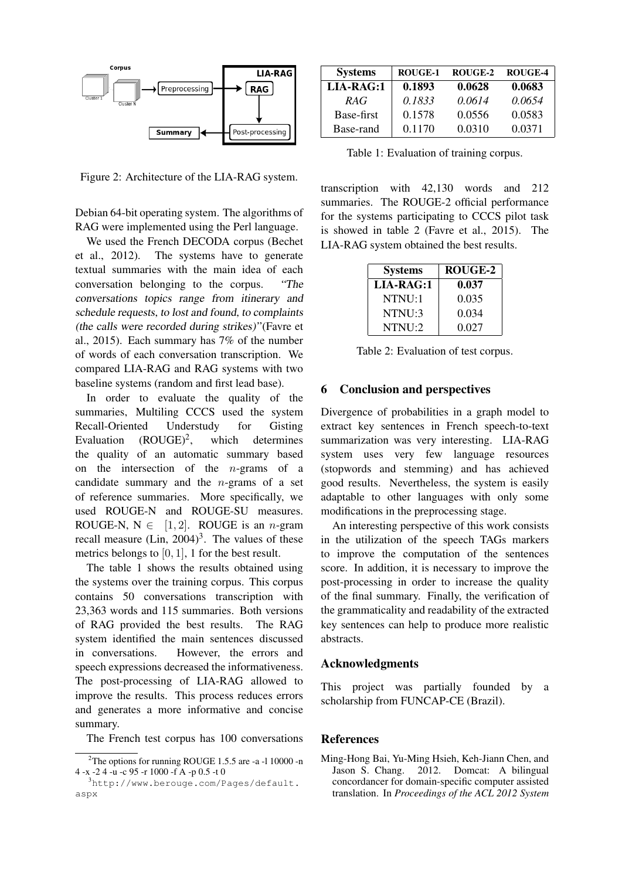

Figure 2: Architecture of the LIA-RAG system.

Debian 64-bit operating system. The algorithms of RAG were implemented using the Perl language.

We used the French DECODA corpus (Bechet et al., 2012). The systems have to generate textual summaries with the main idea of each conversation belonging to the corpus. "The conversations topics range from itinerary and schedule requests, to lost and found, to complaints (the calls were recorded during strikes)" (Favre et al., 2015). Each summary has 7% of the number of words of each conversation transcription. We compared LIA-RAG and RAG systems with two baseline systems (random and first lead base).

In order to evaluate the quality of the summaries, Multiling CCCS used the system Recall-Oriented Understudy for Gisting Evaluation  $(ROUGE)^2$ , , which determines the quality of an automatic summary based on the intersection of the  $n$ -grams of a candidate summary and the  $n$ -grams of a set of reference summaries. More specifically, we used ROUGE-N and ROUGE-SU measures. ROUGE-N,  $N \in [1, 2]$ . ROUGE is an *n*-gram recall measure  $(Lin, 2004)^3$ . The values of these metrics belongs to  $[0, 1]$ , 1 for the best result.

The table 1 shows the results obtained using the systems over the training corpus. This corpus contains 50 conversations transcription with 23,363 words and 115 summaries. Both versions of RAG provided the best results. The RAG system identified the main sentences discussed in conversations. However, the errors and speech expressions decreased the informativeness. The post-processing of LIA-RAG allowed to improve the results. This process reduces errors and generates a more informative and concise summary.

The French test corpus has 100 conversations

| <b>Systems</b> | ROUGE-1 | ROUGE-2 | <b>ROUGE-4</b> |
|----------------|---------|---------|----------------|
| LIA-RAG:1      | 0.1893  | 0.0628  | 0.0683         |
| RAG            | 0.1833  | 0.0614  | 0.0654         |
| Base-first     | 0.1578  | 0.0556  | 0.0583         |
| Base-rand      | 0.1170  | 0.0310  | 0.0371         |

Table 1: Evaluation of training corpus.

transcription with 42,130 words and 212 summaries. The ROUGE-2 official performance for the systems participating to CCCS pilot task is showed in table 2 (Favre et al., 2015). The LIA-RAG system obtained the best results.

| <b>Systems</b> | ROUGE-2 |
|----------------|---------|
| LIA-RAG:1      | 0.037   |
| NTNU:1         | 0.035   |
| NTNI:3         | 0.034   |
| NTNI:2         | 0.027   |

Table 2: Evaluation of test corpus.

#### 6 Conclusion and perspectives

Divergence of probabilities in a graph model to extract key sentences in French speech-to-text summarization was very interesting. LIA-RAG system uses very few language resources (stopwords and stemming) and has achieved good results. Nevertheless, the system is easily adaptable to other languages with only some modifications in the preprocessing stage.

An interesting perspective of this work consists in the utilization of the speech TAGs markers to improve the computation of the sentences score. In addition, it is necessary to improve the post-processing in order to increase the quality of the final summary. Finally, the verification of the grammaticality and readability of the extracted key sentences can help to produce more realistic abstracts.

#### Acknowledgments

This project was partially founded by a scholarship from FUNCAP-CE (Brazil).

## References

Ming-Hong Bai, Yu-Ming Hsieh, Keh-Jiann Chen, and<br>Jason S. Chang. 2012. Domcat: A bilingual 2012. Domcat: A bilingual concordancer for domain-specific computer assisted translation. In *Proceedings of the ACL 2012 System*

<sup>2</sup>The options for running ROUGE 1.5.5 are -a -l 10000 -n 4 -x -2 4 -u -c 95 -r 1000 -f A -p 0.5 -t 0

<sup>3</sup>http://www.berouge.com/Pages/default. aspx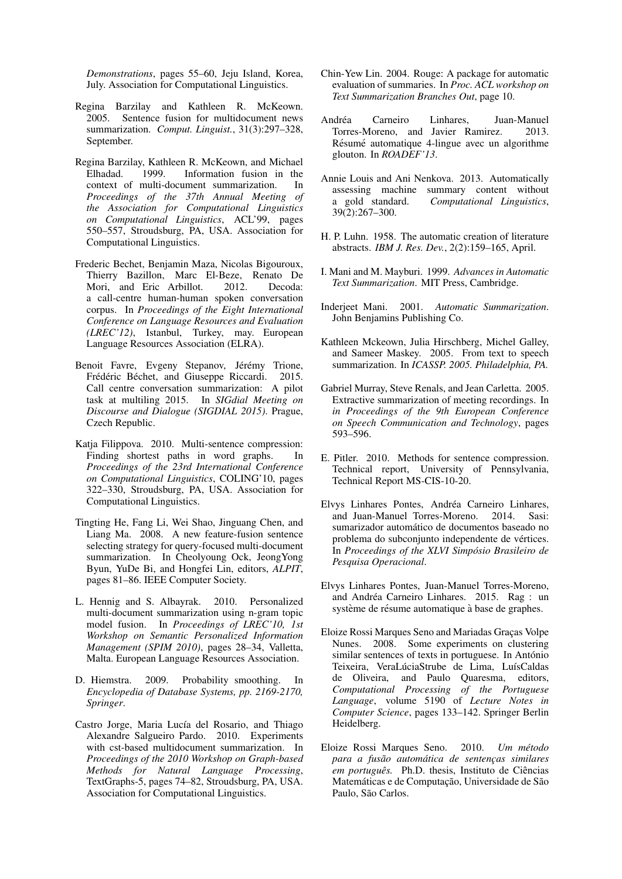*Demonstrations*, pages 55–60, Jeju Island, Korea, July. Association for Computational Linguistics.

- Regina Barzilay and Kathleen R. McKeown. 2005. Sentence fusion for multidocument news summarization. *Comput. Linguist.*, 31(3):297–328, September.
- Regina Barzilay, Kathleen R. McKeown, and Michael Elhadad. 1999. Information fusion in the context of multi-document summarization. In *Proceedings of the 37th Annual Meeting of the Association for Computational Linguistics on Computational Linguistics*, ACL'99, pages 550–557, Stroudsburg, PA, USA. Association for Computational Linguistics.
- Frederic Bechet, Benjamin Maza, Nicolas Bigouroux, Thierry Bazillon, Marc El-Beze, Renato De Mori, and Eric Arbillot. 2012. Decoda: a call-centre human-human spoken conversation corpus. In *Proceedings of the Eight International Conference on Language Resources and Evaluation (LREC'12)*, Istanbul, Turkey, may. European Language Resources Association (ELRA).
- Benoit Favre, Evgeny Stepanov, Jérémy Trione, Frédéric Béchet, and Giuseppe Riccardi. 2015. Call centre conversation summarization: A pilot task at multiling 2015. In *SIGdial Meeting on Discourse and Dialogue (SIGDIAL 2015)*. Prague, Czech Republic.
- Katja Filippova. 2010. Multi-sentence compression: Finding shortest paths in word graphs. In *Proceedings of the 23rd International Conference on Computational Linguistics*, COLING'10, pages 322–330, Stroudsburg, PA, USA. Association for Computational Linguistics.
- Tingting He, Fang Li, Wei Shao, Jinguang Chen, and Liang Ma. 2008. A new feature-fusion sentence selecting strategy for query-focused multi-document summarization. In Cheolyoung Ock, JeongYong Byun, YuDe Bi, and Hongfei Lin, editors, *ALPIT*, pages 81–86. IEEE Computer Society.
- L. Hennig and S. Albayrak. 2010. Personalized multi-document summarization using n-gram topic model fusion. In *Proceedings of LREC'10, 1st Workshop on Semantic Personalized Information Management (SPIM 2010)*, pages 28–34, Valletta, Malta. European Language Resources Association.
- D. Hiemstra. 2009. Probability smoothing. In *Encyclopedia of Database Systems, pp. 2169-2170, Springer*.
- Castro Jorge, Maria Lucía del Rosario, and Thiago Alexandre Salgueiro Pardo. 2010. Experiments with cst-based multidocument summarization. In *Proceedings of the 2010 Workshop on Graph-based Methods for Natural Language Processing*, TextGraphs-5, pages 74–82, Stroudsburg, PA, USA. Association for Computational Linguistics.
- Chin-Yew Lin. 2004. Rouge: A package for automatic evaluation of summaries. In *Proc. ACL workshop on Text Summarization Branches Out*, page 10.
- Andréa Carneiro Linhares, Juan-Manuel Torres-Moreno, and Javier Ramirez. 2013. Résumé automatique 4-lingue avec un algorithme glouton. In *ROADEF'13*.
- Annie Louis and Ani Nenkova. 2013. Automatically assessing machine summary content without a gold standard. *Computational Linguistics*, 39(2):267–300.
- H. P. Luhn. 1958. The automatic creation of literature abstracts. *IBM J. Res. Dev.*, 2(2):159–165, April.
- I. Mani and M. Mayburi. 1999. *Advances in Automatic Text Summarization*. MIT Press, Cambridge.
- Inderjeet Mani. 2001. *Automatic Summarization*. John Benjamins Publishing Co.
- Kathleen Mckeown, Julia Hirschberg, Michel Galley, and Sameer Maskey. 2005. From text to speech summarization. In *ICASSP. 2005. Philadelphia, PA.*
- Gabriel Murray, Steve Renals, and Jean Carletta. 2005. Extractive summarization of meeting recordings. In *in Proceedings of the 9th European Conference on Speech Communication and Technology*, pages 593–596.
- E. Pitler. 2010. Methods for sentence compression. Technical report, University of Pennsylvania, Technical Report MS-CIS-10-20.
- Elvys Linhares Pontes, Andréa Carneiro Linhares, and Juan-Manuel Torres-Moreno. 2014. Sasi: sumarizador automático de documentos baseado no problema do subconjunto independente de vertices. ´ In *Proceedings of the XLVI Simposio Brasileiro de ´ Pesquisa Operacional*.
- Elvys Linhares Pontes, Juan-Manuel Torres-Moreno, and Andréa Carneiro Linhares. 2015. Rag : un système de résume automatique à base de graphes.
- Eloize Rossi Marques Seno and Mariadas Graças Volpe Nunes. 2008. Some experiments on clustering similar sentences of texts in portuguese. In António Teixeira, VeraLúciaStrube de Lima, LuísCaldas de Oliveira, and Paulo Quaresma, editors, *Computational Processing of the Portuguese Language*, volume 5190 of *Lecture Notes in Computer Science*, pages 133–142. Springer Berlin Heidelberg.
- Eloize Rossi Marques Seno. 2010. *Um metodo ´ para a fusao autom ˜ atica de sentenc¸as similares ´ em português.* Ph.D. thesis, Instituto de Ciências Matemáticas e de Computação, Universidade de São Paulo, São Carlos.